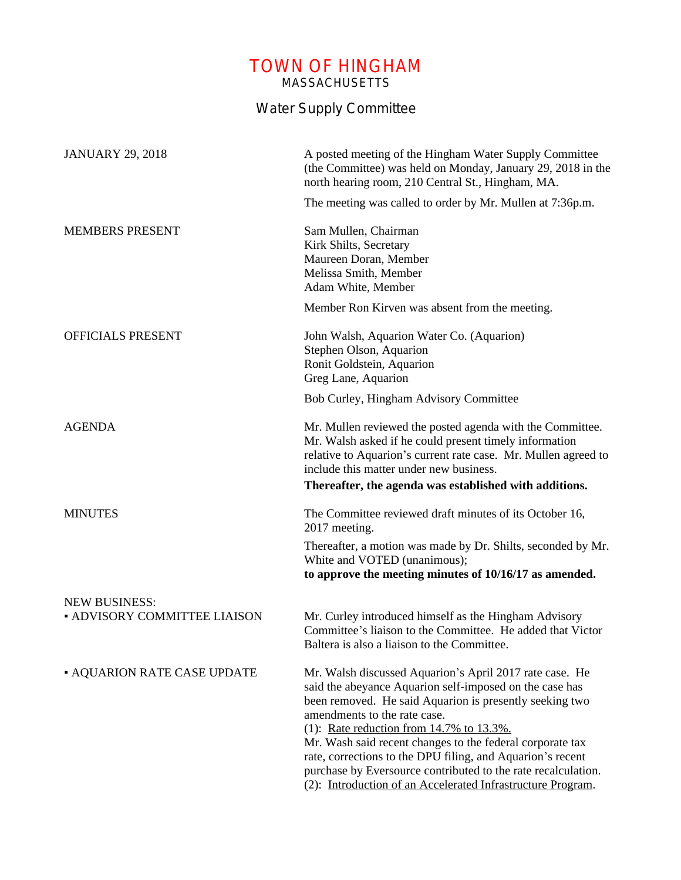## TOWN OF HINGHAM MASSACHUSETTS

## Water Supply Committee

| <b>JANUARY 29, 2018</b>             | A posted meeting of the Hingham Water Supply Committee<br>(the Committee) was held on Monday, January 29, 2018 in the<br>north hearing room, 210 Central St., Hingham, MA.                                                                                                                                                                                                                                                                                                                                                  |
|-------------------------------------|-----------------------------------------------------------------------------------------------------------------------------------------------------------------------------------------------------------------------------------------------------------------------------------------------------------------------------------------------------------------------------------------------------------------------------------------------------------------------------------------------------------------------------|
|                                     | The meeting was called to order by Mr. Mullen at 7:36p.m.                                                                                                                                                                                                                                                                                                                                                                                                                                                                   |
| <b>MEMBERS PRESENT</b>              | Sam Mullen, Chairman<br>Kirk Shilts, Secretary<br>Maureen Doran, Member<br>Melissa Smith, Member<br>Adam White, Member                                                                                                                                                                                                                                                                                                                                                                                                      |
|                                     | Member Ron Kirven was absent from the meeting.                                                                                                                                                                                                                                                                                                                                                                                                                                                                              |
| OFFICIALS PRESENT                   | John Walsh, Aquarion Water Co. (Aquarion)<br>Stephen Olson, Aquarion<br>Ronit Goldstein, Aquarion<br>Greg Lane, Aquarion                                                                                                                                                                                                                                                                                                                                                                                                    |
|                                     | Bob Curley, Hingham Advisory Committee                                                                                                                                                                                                                                                                                                                                                                                                                                                                                      |
| <b>AGENDA</b>                       | Mr. Mullen reviewed the posted agenda with the Committee.<br>Mr. Walsh asked if he could present timely information<br>relative to Aquarion's current rate case. Mr. Mullen agreed to<br>include this matter under new business.                                                                                                                                                                                                                                                                                            |
|                                     | Thereafter, the agenda was established with additions.                                                                                                                                                                                                                                                                                                                                                                                                                                                                      |
| <b>MINUTES</b>                      | The Committee reviewed draft minutes of its October 16,<br>2017 meeting.                                                                                                                                                                                                                                                                                                                                                                                                                                                    |
|                                     | Thereafter, a motion was made by Dr. Shilts, seconded by Mr.<br>White and VOTED (unanimous);<br>to approve the meeting minutes of 10/16/17 as amended.                                                                                                                                                                                                                                                                                                                                                                      |
| <b>NEW BUSINESS:</b>                |                                                                                                                                                                                                                                                                                                                                                                                                                                                                                                                             |
| <b>- ADVISORY COMMITTEE LIAISON</b> | Mr. Curley introduced himself as the Hingham Advisory<br>Committee's liaison to the Committee. He added that Victor<br>Baltera is also a liaison to the Committee.                                                                                                                                                                                                                                                                                                                                                          |
| <b>- AQUARION RATE CASE UPDATE</b>  | Mr. Walsh discussed Aquarion's April 2017 rate case. He<br>said the abeyance Aquarion self-imposed on the case has<br>been removed. He said Aquarion is presently seeking two<br>amendments to the rate case.<br>(1): Rate reduction from $14.7\%$ to $13.3\%$ .<br>Mr. Wash said recent changes to the federal corporate tax<br>rate, corrections to the DPU filing, and Aquarion's recent<br>purchase by Eversource contributed to the rate recalculation.<br>(2): Introduction of an Accelerated Infrastructure Program. |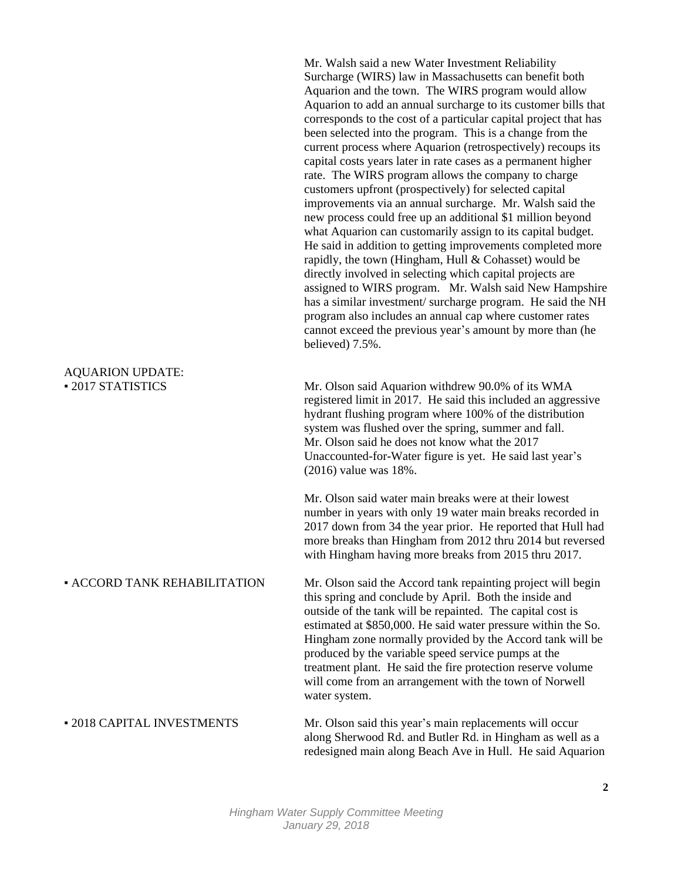|                                             | Mr. Walsh said a new Water Investment Reliability<br>Surcharge (WIRS) law in Massachusetts can benefit both<br>Aquarion and the town. The WIRS program would allow<br>Aquarion to add an annual surcharge to its customer bills that<br>corresponds to the cost of a particular capital project that has<br>been selected into the program. This is a change from the<br>current process where Aquarion (retrospectively) recoups its<br>capital costs years later in rate cases as a permanent higher<br>rate. The WIRS program allows the company to charge<br>customers upfront (prospectively) for selected capital<br>improvements via an annual surcharge. Mr. Walsh said the<br>new process could free up an additional \$1 million beyond<br>what Aquarion can customarily assign to its capital budget.<br>He said in addition to getting improvements completed more<br>rapidly, the town (Hingham, Hull & Cohasset) would be<br>directly involved in selecting which capital projects are<br>assigned to WIRS program. Mr. Walsh said New Hampshire<br>has a similar investment/surcharge program. He said the NH<br>program also includes an annual cap where customer rates<br>cannot exceed the previous year's amount by more than (he<br>believed) 7.5%. |
|---------------------------------------------|--------------------------------------------------------------------------------------------------------------------------------------------------------------------------------------------------------------------------------------------------------------------------------------------------------------------------------------------------------------------------------------------------------------------------------------------------------------------------------------------------------------------------------------------------------------------------------------------------------------------------------------------------------------------------------------------------------------------------------------------------------------------------------------------------------------------------------------------------------------------------------------------------------------------------------------------------------------------------------------------------------------------------------------------------------------------------------------------------------------------------------------------------------------------------------------------------------------------------------------------------------------------------|
| <b>AQUARION UPDATE:</b><br>-2017 STATISTICS | Mr. Olson said Aquarion withdrew 90.0% of its WMA<br>registered limit in 2017. He said this included an aggressive<br>hydrant flushing program where 100% of the distribution<br>system was flushed over the spring, summer and fall.<br>Mr. Olson said he does not know what the 2017<br>Unaccounted-for-Water figure is yet. He said last year's<br>$(2016)$ value was $18%$ .                                                                                                                                                                                                                                                                                                                                                                                                                                                                                                                                                                                                                                                                                                                                                                                                                                                                                         |
|                                             | Mr. Olson said water main breaks were at their lowest<br>number in years with only 19 water main breaks recorded in<br>2017 down from 34 the year prior. He reported that Hull had<br>more breaks than Hingham from 2012 thru 2014 but reversed<br>with Hingham having more breaks from 2015 thru 2017.                                                                                                                                                                                                                                                                                                                                                                                                                                                                                                                                                                                                                                                                                                                                                                                                                                                                                                                                                                  |
| <b>- ACCORD TANK REHABILITATION</b>         | Mr. Olson said the Accord tank repainting project will begin<br>this spring and conclude by April. Both the inside and<br>outside of the tank will be repainted. The capital cost is<br>estimated at \$850,000. He said water pressure within the So.<br>Hingham zone normally provided by the Accord tank will be<br>produced by the variable speed service pumps at the<br>treatment plant. He said the fire protection reserve volume<br>will come from an arrangement with the town of Norwell<br>water system.                                                                                                                                                                                                                                                                                                                                                                                                                                                                                                                                                                                                                                                                                                                                                      |
| - 2018 CAPITAL INVESTMENTS                  | Mr. Olson said this year's main replacements will occur<br>along Sherwood Rd. and Butler Rd. in Hingham as well as a<br>redesigned main along Beach Ave in Hull. He said Aquarion                                                                                                                                                                                                                                                                                                                                                                                                                                                                                                                                                                                                                                                                                                                                                                                                                                                                                                                                                                                                                                                                                        |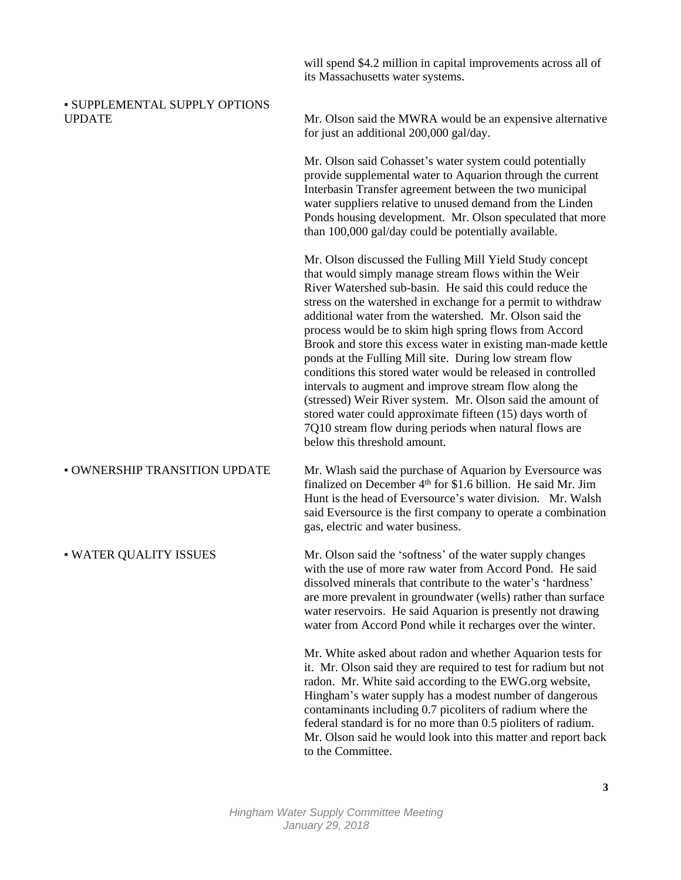will spend \$4.2 million in capital improvements across all of its Massachusetts water systems.

| <b>- SUPPLEMENTAL SUPPLY OPTIONS</b><br><b>UPDATE</b> | Mr. Olson said the MWRA would be an expensive alternative<br>for just an additional 200,000 gal/day.                                                                                                                                                                                                                                                                                                                                                                                                                                                                                                                                                                                                                                                                                                                                         |
|-------------------------------------------------------|----------------------------------------------------------------------------------------------------------------------------------------------------------------------------------------------------------------------------------------------------------------------------------------------------------------------------------------------------------------------------------------------------------------------------------------------------------------------------------------------------------------------------------------------------------------------------------------------------------------------------------------------------------------------------------------------------------------------------------------------------------------------------------------------------------------------------------------------|
|                                                       | Mr. Olson said Cohasset's water system could potentially<br>provide supplemental water to Aquarion through the current<br>Interbasin Transfer agreement between the two municipal<br>water suppliers relative to unused demand from the Linden<br>Ponds housing development. Mr. Olson speculated that more<br>than 100,000 gal/day could be potentially available.                                                                                                                                                                                                                                                                                                                                                                                                                                                                          |
|                                                       | Mr. Olson discussed the Fulling Mill Yield Study concept<br>that would simply manage stream flows within the Weir<br>River Watershed sub-basin. He said this could reduce the<br>stress on the watershed in exchange for a permit to withdraw<br>additional water from the watershed. Mr. Olson said the<br>process would be to skim high spring flows from Accord<br>Brook and store this excess water in existing man-made kettle<br>ponds at the Fulling Mill site. During low stream flow<br>conditions this stored water would be released in controlled<br>intervals to augment and improve stream flow along the<br>(stressed) Weir River system. Mr. Olson said the amount of<br>stored water could approximate fifteen (15) days worth of<br>7Q10 stream flow during periods when natural flows are<br>below this threshold amount. |
| <b>- OWNERSHIP TRANSITION UPDATE</b>                  | Mr. Wlash said the purchase of Aquarion by Eversource was<br>finalized on December 4 <sup>th</sup> for \$1.6 billion. He said Mr. Jim<br>Hunt is the head of Eversource's water division. Mr. Walsh<br>said Eversource is the first company to operate a combination<br>gas, electric and water business.                                                                                                                                                                                                                                                                                                                                                                                                                                                                                                                                    |
| • WATER QUALITY ISSUES                                | Mr. Olson said the 'softness' of the water supply changes<br>with the use of more raw water from Accord Pond. He said<br>dissolved minerals that contribute to the water's 'hardness'<br>are more prevalent in groundwater (wells) rather than surface<br>water reservoirs. He said Aquarion is presently not drawing<br>water from Accord Pond while it recharges over the winter.                                                                                                                                                                                                                                                                                                                                                                                                                                                          |
|                                                       | Mr. White asked about radon and whether Aquarion tests for<br>it. Mr. Olson said they are required to test for radium but not<br>radon. Mr. White said according to the EWG.org website,<br>Hingham's water supply has a modest number of dangerous<br>contaminants including 0.7 picoliters of radium where the<br>federal standard is for no more than 0.5 pioliters of radium.<br>Mr. Olson said he would look into this matter and report back                                                                                                                                                                                                                                                                                                                                                                                           |

to the Committee.